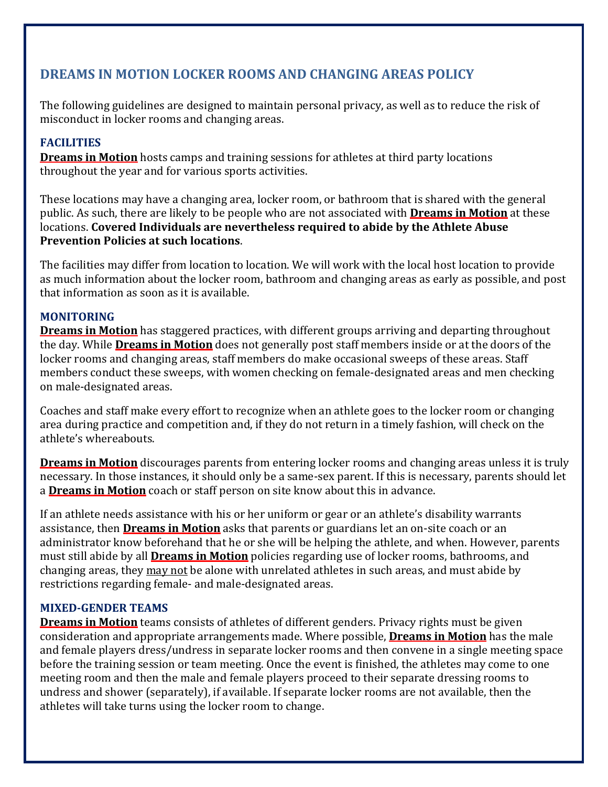# **DREAMS IN MOTION LOCKER ROOMS AND CHANGING AREAS POLICY**

The following guidelines are designed to maintain personal privacy, as well as to reduce the risk of misconduct in locker rooms and changing areas.

# **FACILITIES**

**Dreams in Motion** hosts camps and training sessions for athletes at third party locations throughout the year and for various sports activities.

These locations may have a changing area, locker room, or bathroom that is shared with the general public. As such, there are likely to be people who are not associated with **Dreams in Motion** at these locations. **Covered Individuals are nevertheless required to abide by the Athlete Abuse Prevention Policies at such locations**.

The facilities may differ from location to location. We will work with the local host location to provide as much information about the locker room, bathroom and changing areas as early as possible, and post that information as soon as it is available.

## **MONITORING**

**Dreams in Motion** has staggered practices, with different groups arriving and departing throughout the day. While **Dreams in Motion** does not generally post staff members inside or at the doors of the locker rooms and changing areas, staff members do make occasional sweeps of these areas. Staff members conduct these sweeps, with women checking on female‐designated areas and men checking on male‐designated areas.

Coaches and staff make every effort to recognize when an athlete goes to the locker room or changing area during practice and competition and, if they do not return in a timely fashion, will check on the athlete's whereabouts.

**Dreams in Motion** discourages parents from entering locker rooms and changing areas unless it is truly necessary. In those instances, it should only be a same‐sex parent. If this is necessary, parents should let a **Dreams in Motion** coach or staff person on site know about this in advance.

If an athlete needs assistance with his or her uniform or gear or an athlete's disability warrants assistance, then **Dreams in Motion** asks that parents or guardians let an on‐site coach or an administrator know beforehand that he or she will be helping the athlete, and when. However, parents must still abide by all **Dreams in Motion** policies regarding use of locker rooms, bathrooms, and changing areas, they may not be alone with unrelated athletes in such areas, and must abide by restrictions regarding female‐ and male‐designated areas.

## **MIXED‐GENDER TEAMS**

**Dreams in Motion** teams consists of athletes of different genders. Privacy rights must be given consideration and appropriate arrangements made. Where possible, **Dreams in Motion** has the male and female players dress/undress in separate locker rooms and then convene in a single meeting space before the training session or team meeting. Once the event is finished, the athletes may come to one meeting room and then the male and female players proceed to their separate dressing rooms to undress and shower (separately), if available. If separate locker rooms are not available, then the athletes will take turns using the locker room to change.